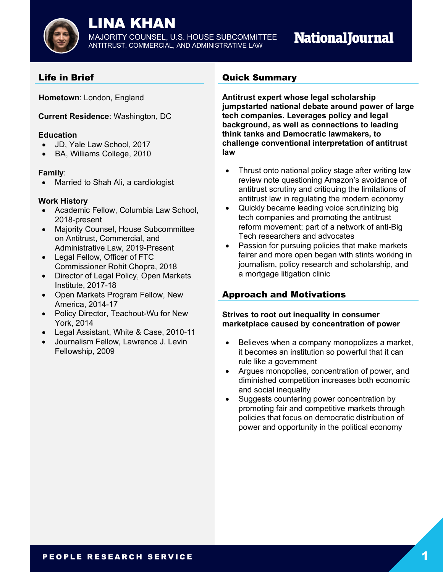

# LINA KHAN

MAJORITY COUNSEL, U.S. HOUSE SUBCOMMITTEE ANTITRUST, COMMERCIAL, AND ADMINISTRATIVE LAW

# **NationalJournal**

# Life in Brief

**Hometown**: London, England

**Current Residence**: Washington, DC

## **Education**

- JD, Yale Law School, 2017
- BA, Williams College, 2010

## **Family**:

• Married to Shah Ali, a cardiologist

# **Work History**

- Academic Fellow, Columbia Law School, 2018-present
- Majority Counsel, House Subcommittee on Antitrust, Commercial, and Administrative Law, 2019-Present
- Legal Fellow, Officer of FTC Commissioner Rohit Chopra, 2018
- Director of Legal Policy, Open Markets Institute, 2017-18
- Open Markets Program Fellow, New America, 2014-17
- Policy Director, Teachout-Wu for New York, 2014
- Legal Assistant, White & Case, 2010-11
- Journalism Fellow, Lawrence J. Levin Fellowship, 2009

# Quick Summary

**Antitrust expert whose legal scholarship jumpstarted national debate around power of large tech companies. Leverages policy and legal background, as well as connections to leading think tanks and Democratic lawmakers, to challenge conventional interpretation of antitrust law**

- Thrust onto national policy stage after writing law review note questioning Amazon's avoidance of antitrust scrutiny and critiquing the limitations of antitrust law in regulating the modern economy
- Quickly became leading voice scrutinizing big tech companies and promoting the antitrust reform movement; part of a network of anti-Big Tech researchers and advocates
- Passion for pursuing policies that make markets fairer and more open began with stints working in journalism, policy research and scholarship, and a mortgage litigation clinic

# Approach and Motivations

## **Strives to root out inequality in consumer marketplace caused by concentration of power**

- Believes when a company monopolizes a market, it becomes an institution so powerful that it can rule like a government
- Argues monopolies, concentration of power, and diminished competition increases both economic and social inequality
- Suggests countering power concentration by promoting fair and competitive markets through policies that focus on democratic distribution of power and opportunity in the political economy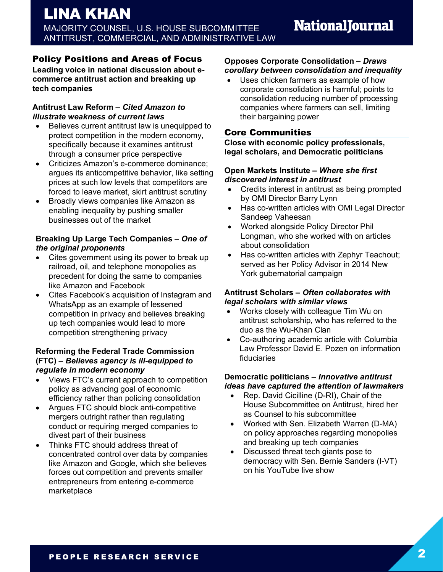# Policy Positions and Areas of Focus

**Leading voice in national discussion about ecommerce antitrust action and breaking up tech companies**

## **Antitrust Law Reform –** *Cited Amazon to illustrate weakness of current laws*

- Believes current antitrust law is unequipped to protect competition in the modern economy, specifically because it examines antitrust through a consumer price perspective
- Criticizes Amazon's e-commerce dominance; argues its anticompetitive behavior, like setting prices at such low levels that competitors are forced to leave market, skirt antitrust scrutiny
- Broadly views companies like Amazon as enabling inequality by pushing smaller businesses out of the market

## **Breaking Up Large Tech Companies –** *One of the original proponents*

- Cites government using its power to break up railroad, oil, and telephone monopolies as precedent for doing the same to companies like Amazon and Facebook
- Cites Facebook's acquisition of Instagram and WhatsApp as an example of lessened competition in privacy and believes breaking up tech companies would lead to more competition strengthening privacy

#### **Reforming the Federal Trade Commission (FTC) –** *Believes agency is ill-equipped to regulate in modern economy*

- Views FTC's current approach to competition policy as advancing goal of economic efficiency rather than policing consolidation
- Argues FTC should block anti-competitive mergers outright rather than regulating conduct or requiring merged companies to divest part of their business
- Thinks FTC should address threat of concentrated control over data by companies like Amazon and Google, which she believes forces out competition and prevents smaller entrepreneurs from entering e-commerce marketplace

#### **Opposes Corporate Consolidation –** *Draws corollary between consolidation and inequality*

• Uses chicken farmers as example of how corporate consolidation is harmful; points to consolidation reducing number of processing companies where farmers can sell, limiting their bargaining power

# Core Communities

**Close with economic policy professionals, legal scholars, and Democratic politicians**

#### **Open Markets Institute –** *Where she first discovered interest in antitrust*

- Credits interest in antitrust as being prompted by OMI Director Barry Lynn
- Has co-written articles with OMI Legal Director Sandeep Vaheesan
- Worked alongside Policy Director Phil Longman, who she worked with on articles about consolidation
- Has co-written articles with Zephyr Teachout; served as her Policy Advisor in 2014 New York gubernatorial campaign

## **Antitrust Scholars –** *Often collaborates with legal scholars with similar views*

- Works closely with colleague Tim Wu on antitrust scholarship, who has referred to the duo as the Wu-Khan Clan
- Co-authoring academic article with Columbia Law Professor David E. Pozen on information fiduciaries

## **Democratic politicians –** *Innovative antitrust ideas have captured the attention of lawmakers*

- Rep. David Cicilline (D-RI), Chair of the House Subcommittee on Antitrust, hired her as Counsel to his subcommittee
- Worked with Sen. Elizabeth Warren (D-MA) on policy approaches regarding monopolies and breaking up tech companies
- Discussed threat tech giants pose to democracy with Sen. Bernie Sanders (I-VT) on his YouTube live show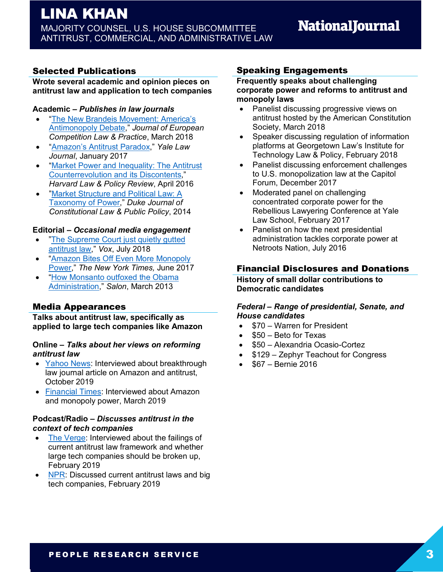# LINA KHAN MAJORITY COUNSEL, U.S. HOUSE SUBCOMMITTEE ANTITRUST, COMMERCIAL, AND ADMINISTRATIVE LAW

# Selected Publications

#### **Wrote several academic and opinion pieces on antitrust law and application to tech companies**

#### **Academic –** *Publishes in law journals*

- "The New Brandeis Movement: America's Antimonopoly Debate," *Journal of European Competition Law & Practice*, March 2018
- "Amazon's Antitrust Paradox," *Yale Law Journal*, January 2017
- "Market Power and Inequality: The Antitrust Counterrevolution and its Discontents," *Harvard Law & Policy Review*, April 2016
- "Market Structure and Political Law: A Taxonomy of Power," *Duke Journal of Constitutional Law & Public Policy*, 2014

#### **Editorial –** *Occasional media engagement*

- "The Supreme Court just quietly gutted" antitrust law," *Vox*, July 2018
- "Amazon Bites Off Even More Monopoly Power," *The New York Times,* June 2017
- "How Monsanto outfoxed the Obama Administration," *Salon*, March 2013

# Media Appearances

**Talks about antitrust law, specifically as applied to large tech companies like Amazon**

#### **Online –** *Talks about her views on reforming antitrust law*

- Yahoo News: Interviewed about breakthrough law journal article on Amazon and antitrust, October 2019
- Financial Times: Interviewed about Amazon and monopoly power, March 2019

#### **Podcast/Radio –** *Discusses antitrust in the context of tech companies*

- The Verge: Interviewed about the failings of current antitrust law framework and whether large tech companies should be broken up, February 2019
- NPR: Discussed current antitrust laws and big tech companies, February 2019

# Speaking Engagements

#### **Frequently speaks about challenging corporate power and reforms to antitrust and monopoly laws**

- Panelist discussing progressive views on antitrust hosted by the American Constitution Society, March 2018
- Speaker discussing regulation of information platforms at Georgetown Law's Institute for Technology Law & Policy, February 2018
- Panelist discussing enforcement challenges to U.S. monopolization law at the Capitol Forum, December 2017
- Moderated panel on challenging concentrated corporate power for the Rebellious Lawyering Conference at Yale Law School, February 2017
- Panelist on how the next presidential administration tackles corporate power at Netroots Nation, July 2016

# Financial Disclosures and Donations

**History of small dollar contributions to Democratic candidates**

#### *Federal – Range of presidential, Senate, and House candidates*

- \$70 Warren for President
- \$50 Beto for Texas
- \$50 Alexandria Ocasio-Cortez
- $$129 Zephyr$  Teachout for Congress
- \$67 Bernie 2016